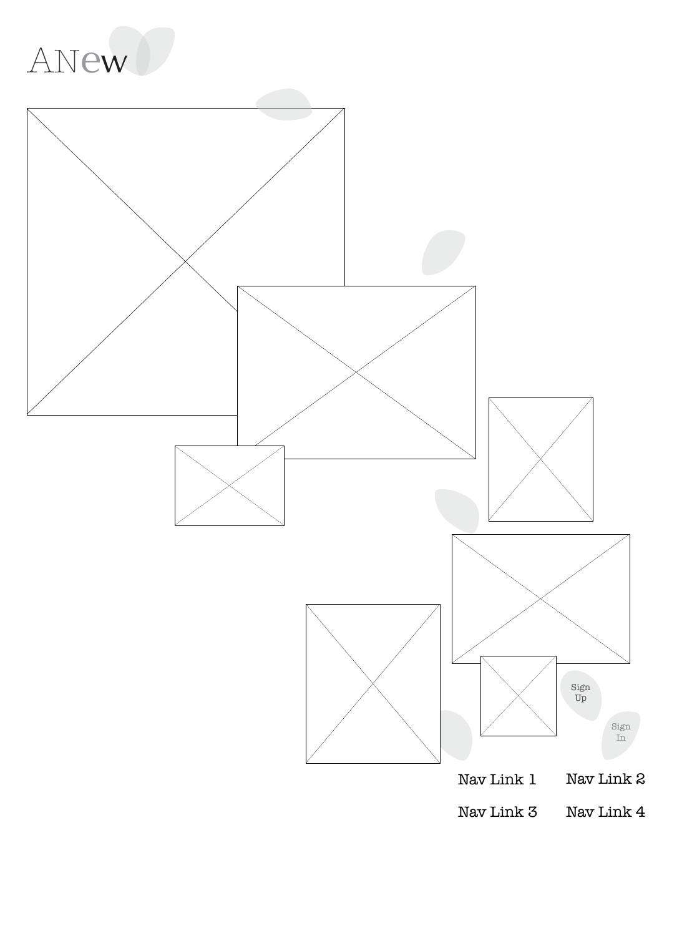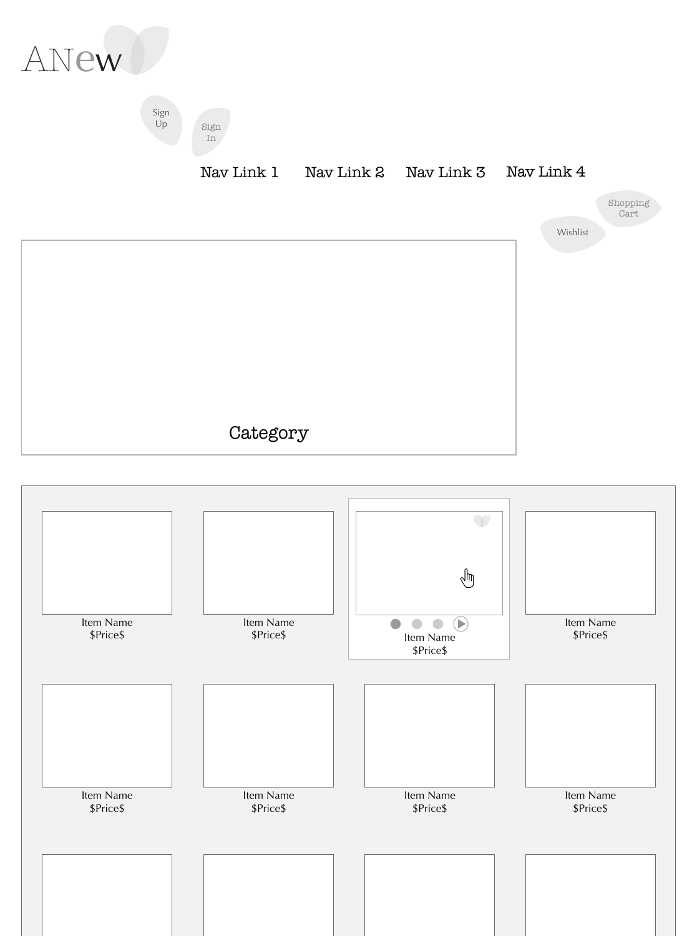

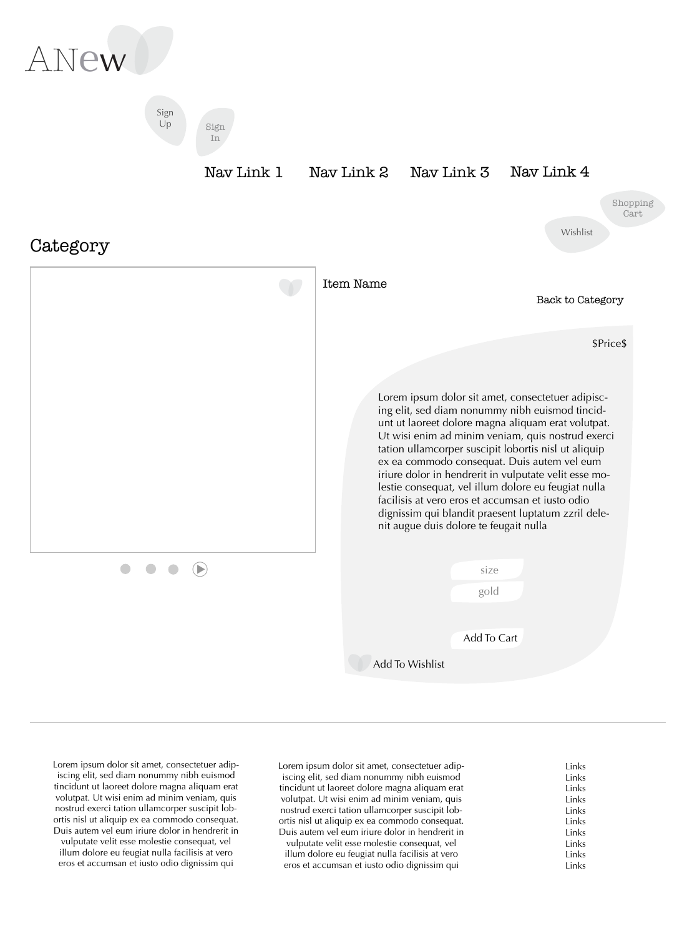Links Links Links Links Links Links Links Links Links Links Lorem ipsum dolor sit amet, consectetuer adipiscing elit, sed diam nonummy nibh euismod tincidunt ut laoreet dolore magna aliquam erat volutpat. Ut wisi enim ad minim veniam, quis nostrud exerci tation ullamcorper suscipit lobortis nisl ut aliquip ex ea commodo consequat. Duis autem vel eum iriure dolor in hendrerit in vulputate velit esse molestie consequat, vel illum dolore eu feugiat nulla facilisis at vero eros et accumsan et iusto odio dignissim qui

Lorem ipsum dolor sit amet, consectetuer adipiscing elit, sed diam nonummy nibh euismod tincidunt ut laoreet dolore magna aliquam erat volutpat. Ut wisi enim ad minim veniam, quis nostrud exerci tation ullamcorper suscipit lobortis nisl ut aliquip ex ea commodo consequat. Duis autem vel eum iriure dolor in hendrerit in vulputate velit esse molestie consequat, vel illum dolore eu feugiat nulla facilisis at vero eros et accumsan et iusto odio dignissim qui



ex ea commodo consequat. Duis autem vel eum iriure dolor in hendrerit in vulputate velit esse molestie consequat, vel illum dolore eu feugiat nulla facilisis at vero eros et accumsan et iusto odio dignissim qui blandit praesent luptatum zzril delenit augue duis dolore te feugait nulla

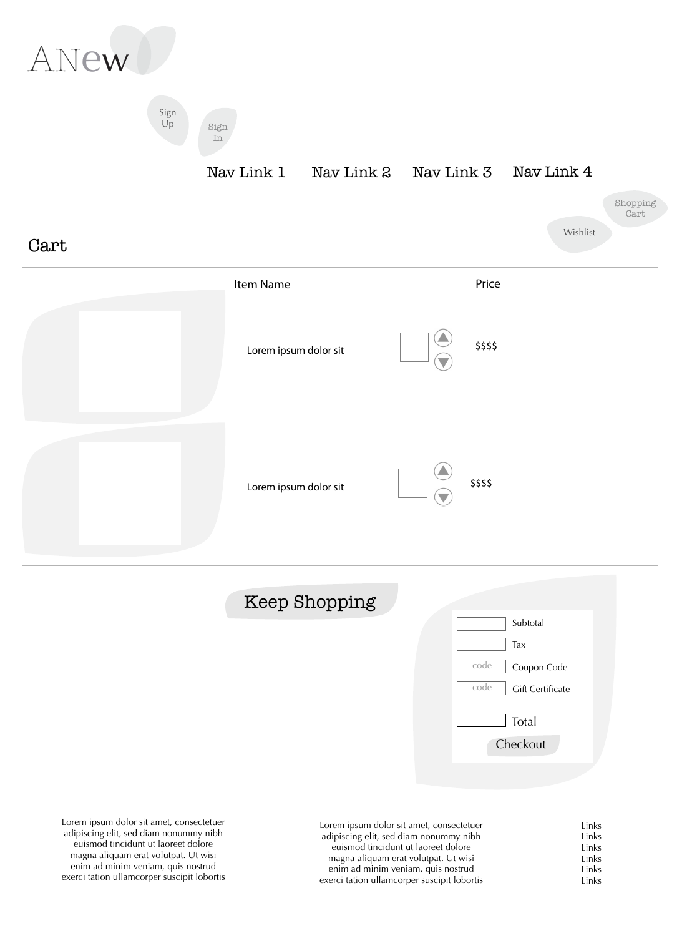| Lorem ipsum dolor sit amet, consectetuer    | Links  |
|---------------------------------------------|--------|
| adipiscing elit, sed diam nonummy nibh      | Links  |
| euismod tincidunt ut laoreet dolore         | Links  |
| magna aliquam erat volutpat. Ut wisi        | Links  |
| enim ad minim veniam, quis nostrud          | Links  |
| exerci tation ullamcorper suscipit lobortis | l inks |

Lorem ipsum dolor sit amet, consectetuer adipiscing elit, sed diam nonummy nibh euismod tincidunt ut laoreet dolore magna aliquam erat volutpat. Ut wisi enim ad minim veniam, quis nostrud exerci tation ullamcorper suscipit lobortis

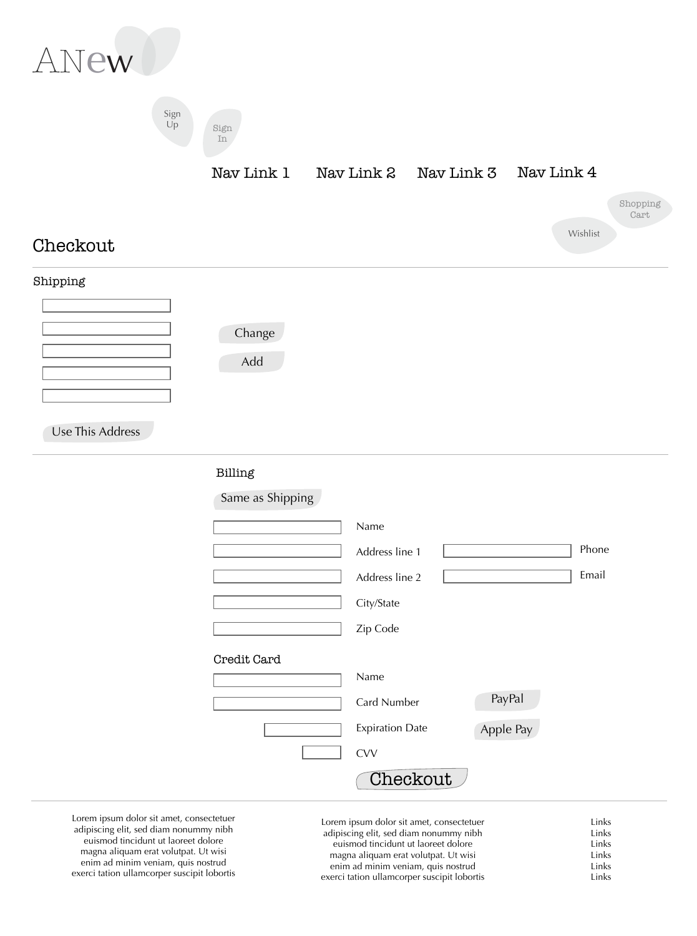| Lorem ipsum dolor sit amet, consectetuer    | Links |
|---------------------------------------------|-------|
| adipiscing elit, sed diam nonummy nibh      | Links |
| euismod tincidunt ut laoreet dolore         | Links |
| magna aliquam erat volutpat. Ut wisi        | Links |
| enim ad minim veniam, quis nostrud          | Links |
| exerci tation ullamcorper suscipit lobortis | Links |

Lorem ipsum dolor sit amet, consectetuer adipiscing elit, sed diam nonummy nibh euismod tincidunt ut laoreet dolore magna aliquam erat volutpat. Ut wisi enim ad minim veniam, quis nostrud exerci tation ullamcorper suscipit lobortis

## Billing

Same as Shipping

|                    | Name                   |           |       |
|--------------------|------------------------|-----------|-------|
|                    | Address line 1         |           | Phone |
|                    | Address line 2         |           | Email |
|                    | City/State             |           |       |
|                    | Zip Code               |           |       |
| <b>Credit Card</b> |                        |           |       |
|                    | Name                   |           |       |
|                    | <b>Card Number</b>     | PayPal    |       |
|                    | <b>Expiration Date</b> | Apple Pay |       |
|                    | <b>CVV</b>             |           |       |
|                    | Checkout               |           |       |